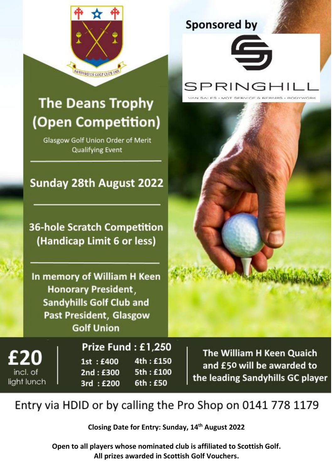

Entry via HDID or by calling the Pro Shop on 0141 778 1179

**Closing Date for Entry: Sunday, 14th August 2022**

**Open to all players whose nominated club is affiliated to Scottish Golf. All prizes awarded in Scottish Golf Vouchers.**